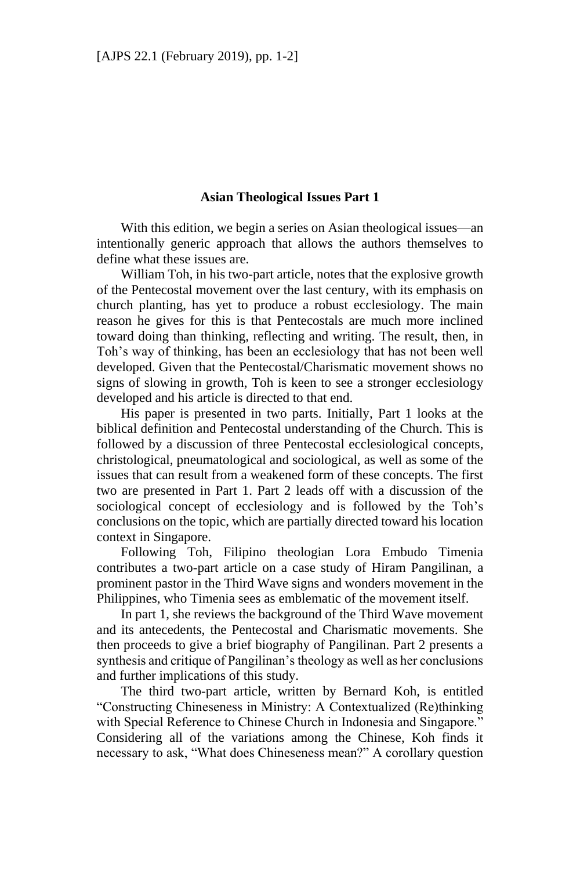## **Asian Theological Issues Part 1**

With this edition, we begin a series on Asian theological issues—an intentionally generic approach that allows the authors themselves to define what these issues are.

William Toh, in his two-part article, notes that the explosive growth of the Pentecostal movement over the last century, with its emphasis on church planting, has yet to produce a robust ecclesiology. The main reason he gives for this is that Pentecostals are much more inclined toward doing than thinking, reflecting and writing. The result, then, in Toh's way of thinking, has been an ecclesiology that has not been well developed. Given that the Pentecostal/Charismatic movement shows no signs of slowing in growth, Toh is keen to see a stronger ecclesiology developed and his article is directed to that end.

His paper is presented in two parts. Initially, Part 1 looks at the biblical definition and Pentecostal understanding of the Church. This is followed by a discussion of three Pentecostal ecclesiological concepts, christological, pneumatological and sociological, as well as some of the issues that can result from a weakened form of these concepts. The first two are presented in Part 1. Part 2 leads off with a discussion of the sociological concept of ecclesiology and is followed by the Toh's conclusions on the topic, which are partially directed toward his location context in Singapore.

Following Toh, Filipino theologian Lora Embudo Timenia contributes a two-part article on a case study of Hiram Pangilinan, a prominent pastor in the Third Wave signs and wonders movement in the Philippines, who Timenia sees as emblematic of the movement itself.

In part 1, she reviews the background of the Third Wave movement and its antecedents, the Pentecostal and Charismatic movements. She then proceeds to give a brief biography of Pangilinan. Part 2 presents a synthesis and critique of Pangilinan's theology as well as her conclusions and further implications of this study.

The third two-part article, written by Bernard Koh, is entitled "Constructing Chineseness in Ministry: A Contextualized (Re)thinking with Special Reference to Chinese Church in Indonesia and Singapore." Considering all of the variations among the Chinese, Koh finds it necessary to ask, "What does Chineseness mean?" A corollary question